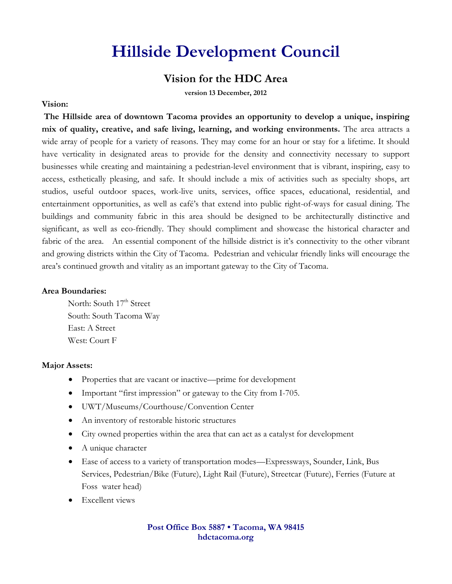# **Hillside Development Council**

# **Vision for the HDC Area**

**version 13 December, 2012**

#### **Vision:**

**The Hillside area of downtown Tacoma provides an opportunity to develop a unique, inspiring mix of quality, creative, and safe living, learning, and working environments.** The area attracts a wide array of people for a variety of reasons. They may come for an hour or stay for a lifetime. It should have verticality in designated areas to provide for the density and connectivity necessary to support businesses while creating and maintaining a pedestrian-level environment that is vibrant, inspiring, easy to access, esthetically pleasing, and safe. It should include a mix of activities such as specialty shops, art studios, useful outdoor spaces, work-live units, services, office spaces, educational, residential, and entertainment opportunities, as well as café's that extend into public right-of-ways for casual dining. The buildings and community fabric in this area should be designed to be architecturally distinctive and significant, as well as eco-friendly. They should compliment and showcase the historical character and fabric of the area. An essential component of the hillside district is it's connectivity to the other vibrant and growing districts within the City of Tacoma. Pedestrian and vehicular friendly links will encourage the area's continued growth and vitality as an important gateway to the City of Tacoma.

### **Area Boundaries:**

North: South 17<sup>th</sup> Street South: South Tacoma Way East: A Street West: Court F

#### **Major Assets:**

- Properties that are vacant or inactive—prime for development
- Important "first impression" or gateway to the City from I-705.
- UWT/Museums/Courthouse/Convention Center
- An inventory of restorable historic structures
- City owned properties within the area that can act as a catalyst for development
- A unique character
- Ease of access to a variety of transportation modes—Expressways, Sounder, Link, Bus Services, Pedestrian/Bike (Future), Light Rail (Future), Streetcar (Future), Ferries (Future at Foss water head)
- Excellent views

### **Post Office Box 5887 • Tacoma, WA 98415 hdctacoma.org**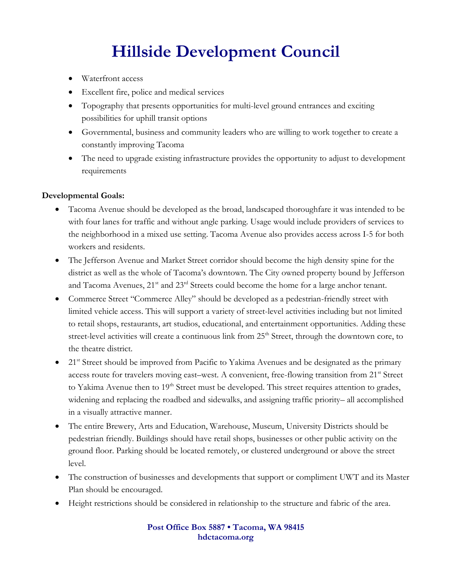# **Hillside Development Council**

- Waterfront access
- Excellent fire, police and medical services
- Topography that presents opportunities for multi-level ground entrances and exciting possibilities for uphill transit options
- Governmental, business and community leaders who are willing to work together to create a constantly improving Tacoma
- The need to upgrade existing infrastructure provides the opportunity to adjust to development requirements

### **Developmental Goals:**

- Tacoma Avenue should be developed as the broad, landscaped thoroughfare it was intended to be with four lanes for traffic and without angle parking. Usage would include providers of services to the neighborhood in a mixed use setting. Tacoma Avenue also provides access across I-5 for both workers and residents.
- The Jefferson Avenue and Market Street corridor should become the high density spine for the district as well as the whole of Tacoma's downtown. The City owned property bound by Jefferson and Tacoma Avenues, 21<sup>st</sup> and 23<sup>rd</sup> Streets could become the home for a large anchor tenant.
- Commerce Street "Commerce Alley" should be developed as a pedestrian-friendly street with limited vehicle access. This will support a variety of street-level activities including but not limited to retail shops, restaurants, art studios, educational, and entertainment opportunities. Adding these street-level activities will create a continuous link from 25<sup>th</sup> Street, through the downtown core, to the theatre district.
- $\bullet$  21<sup>st</sup> Street should be improved from Pacific to Yakima Avenues and be designated as the primary access route for travelers moving east–west. A convenient, free-flowing transition from 21<sup>st</sup> Street to Yakima Avenue then to 19<sup>th</sup> Street must be developed. This street requires attention to grades, widening and replacing the roadbed and sidewalks, and assigning traffic priority– all accomplished in a visually attractive manner.
- The entire Brewery, Arts and Education, Warehouse, Museum, University Districts should be pedestrian friendly. Buildings should have retail shops, businesses or other public activity on the ground floor. Parking should be located remotely, or clustered underground or above the street level.
- The construction of businesses and developments that support or compliment UWT and its Master Plan should be encouraged.
- Height restrictions should be considered in relationship to the structure and fabric of the area.

**Post Office Box 5887 • Tacoma, WA 98415 hdctacoma.org**